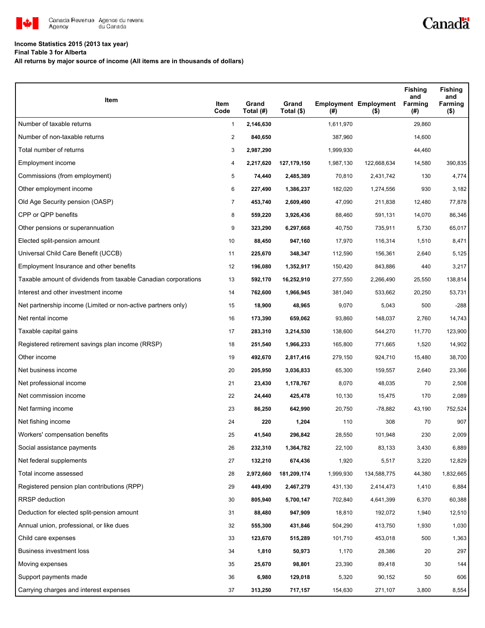

# **Income Statistics 2015 (2013 tax year)**

**Final Table 3 for Alberta**

**All returns by major source of income (All items are in thousands of dollars)**

| Item                                                           | Item<br>Code   | Grand<br>Total (#) | Grand<br>Total (\$) | (# )      | <b>Employment Employment</b><br>$($ \$) | <b>Fishing</b><br>and<br>Farming<br>(#) | <b>Fishing</b><br>and<br>Farming<br>$($ \$) |
|----------------------------------------------------------------|----------------|--------------------|---------------------|-----------|-----------------------------------------|-----------------------------------------|---------------------------------------------|
| Number of taxable returns                                      | $\mathbf{1}$   | 2,146,630          |                     | 1,611,970 |                                         | 29,860                                  |                                             |
| Number of non-taxable returns                                  | $\overline{2}$ | 840,650            |                     | 387,960   |                                         | 14,600                                  |                                             |
| Total number of returns                                        | 3              | 2,987,290          |                     | 1,999,930 |                                         | 44,460                                  |                                             |
| Employment income                                              | 4              | 2,217,620          | 127, 179, 150       | 1,987,130 | 122,668,634                             | 14,580                                  | 390,835                                     |
| Commissions (from employment)                                  | 5              | 74,440             | 2,485,389           | 70,810    | 2,431,742                               | 130                                     | 4,774                                       |
| Other employment income                                        | 6              | 227,490            | 1,386,237           | 182,020   | 1,274,556                               | 930                                     | 3,182                                       |
| Old Age Security pension (OASP)                                | 7              | 453,740            | 2,609,490           | 47,090    | 211,838                                 | 12,480                                  | 77,878                                      |
| CPP or QPP benefits                                            | 8              | 559,220            | 3,926,436           | 88,460    | 591,131                                 | 14,070                                  | 86,346                                      |
| Other pensions or superannuation                               | 9              | 323,290            | 6,297,668           | 40,750    | 735,911                                 | 5,730                                   | 65,017                                      |
| Elected split-pension amount                                   | 10             | 88,450             | 947,160             | 17,970    | 116,314                                 | 1,510                                   | 8,471                                       |
| Universal Child Care Benefit (UCCB)                            | 11             | 225,670            | 348,347             | 112,590   | 156,361                                 | 2,640                                   | 5,125                                       |
| Employment Insurance and other benefits                        | 12             | 196,080            | 1,352,917           | 150,420   | 843,886                                 | 440                                     | 3,217                                       |
| Taxable amount of dividends from taxable Canadian corporations | 13             | 592,170            | 16,252,910          | 277,550   | 2,266,490                               | 25,550                                  | 138,814                                     |
| Interest and other investment income                           | 14             | 762,600            | 1,966,945           | 381,040   | 533,662                                 | 20,250                                  | 53,731                                      |
| Net partnership income (Limited or non-active partners only)   | 15             | 18,900             | 48,965              | 9,070     | 5,043                                   | 500                                     | $-288$                                      |
| Net rental income                                              | 16             | 173,390            | 659,062             | 93,860    | 148,037                                 | 2,760                                   | 14,743                                      |
| Taxable capital gains                                          | 17             | 283,310            | 3,214,530           | 138,600   | 544,270                                 | 11,770                                  | 123,900                                     |
| Registered retirement savings plan income (RRSP)               | 18             | 251,540            | 1,966,233           | 165,800   | 771,665                                 | 1,520                                   | 14,902                                      |
| Other income                                                   | 19             | 492,670            | 2,817,416           | 279,150   | 924,710                                 | 15,480                                  | 38,700                                      |
| Net business income                                            | 20             | 205,950            | 3,036,833           | 65,300    | 159,557                                 | 2,640                                   | 23,366                                      |
| Net professional income                                        | 21             | 23,430             | 1,178,767           | 8,070     | 48,035                                  | 70                                      | 2,508                                       |
| Net commission income                                          | 22             | 24,440             | 425,478             | 10,130    | 15,475                                  | 170                                     | 2,089                                       |
| Net farming income                                             | 23             | 86,250             | 642,990             | 20,750    | -78,882                                 | 43,190                                  | 752,524                                     |
| Net fishing income                                             | 24             | 220                | 1,204               | 110       | 308                                     | 70                                      | 907                                         |
| Workers' compensation benefits                                 | 25             | 41,540             | 296,842             | 28,550    | 101,948                                 | 230                                     | 2,009                                       |
| Social assistance payments                                     | 26             | 232,310            | 1,364,782           | 22,100    | 83,133                                  | 3,430                                   | 6,889                                       |
| Net federal supplements                                        | 27             | 132,210            | 674,436             | 1,920     | 5,517                                   | 3,220                                   | 12,829                                      |
| Total income assessed                                          | 28             | 2,972,660          | 181,209,174         | 1,999,930 | 134,588,775                             | 44,380                                  | 1,832,665                                   |
| Registered pension plan contributions (RPP)                    | 29             | 449,490            | 2,467,279           | 431,130   | 2,414,473                               | 1,410                                   | 6,884                                       |
| <b>RRSP</b> deduction                                          | 30             | 805,940            | 5,700,147           | 702,840   | 4,641,399                               | 6,370                                   | 60,388                                      |
| Deduction for elected split-pension amount                     | 31             | 88,480             | 947,909             | 18,810    | 192,072                                 | 1,940                                   | 12,510                                      |
| Annual union, professional, or like dues                       | 32             | 555,300            | 431,846             | 504,290   | 413,750                                 | 1,930                                   | 1,030                                       |
| Child care expenses                                            | 33             | 123,670            | 515,289             | 101,710   | 453,018                                 | 500                                     | 1,363                                       |
| Business investment loss                                       | 34             | 1,810              | 50,973              | 1,170     | 28,386                                  | 20                                      | 297                                         |
| Moving expenses                                                | 35             | 25,670             | 98,801              | 23,390    | 89,418                                  | 30                                      | 144                                         |
| Support payments made                                          | 36             | 6,980              | 129,018             | 5,320     | 90,152                                  | 50                                      | 606                                         |
| Carrying charges and interest expenses                         | 37             | 313,250            | 717,157             | 154,630   | 271,107                                 | 3,800                                   | 8,554                                       |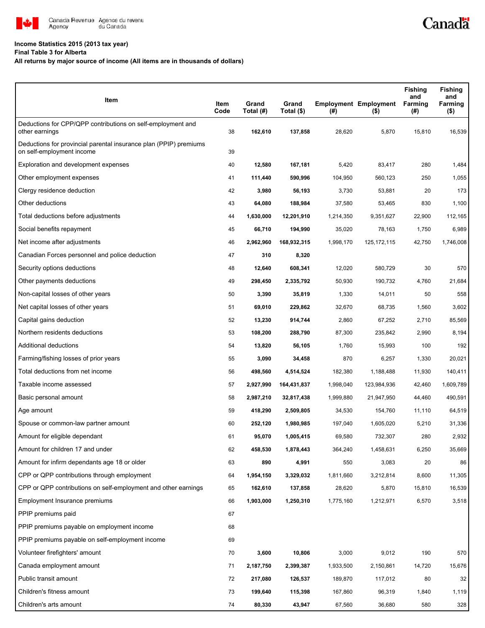

# **Income Statistics 2015 (2013 tax year)**

## **Final Table 3 for Alberta**

# **All returns by major source of income (All items are in thousands of dollars)**

| Item                                                                                           | Item<br>Code | Grand<br>Total (#) | Grand<br>Total (\$) | $($ #)    | <b>Employment Employment</b><br>$($ \$) | <b>Fishing</b><br>and<br>Farming<br>(#) | <b>Fishing</b><br>and<br>Farming<br>$($ \$) |
|------------------------------------------------------------------------------------------------|--------------|--------------------|---------------------|-----------|-----------------------------------------|-----------------------------------------|---------------------------------------------|
| Deductions for CPP/QPP contributions on self-employment and<br>other earnings                  | 38           | 162,610            | 137,858             | 28,620    | 5,870                                   | 15,810                                  | 16,539                                      |
| Deductions for provincial parental insurance plan (PPIP) premiums<br>on self-employment income | 39           |                    |                     |           |                                         |                                         |                                             |
| Exploration and development expenses                                                           | 40           | 12,580             | 167,181             | 5,420     | 83,417                                  | 280                                     | 1,484                                       |
| Other employment expenses                                                                      | 41           | 111,440            | 590,996             | 104,950   | 560,123                                 | 250                                     | 1,055                                       |
| Clergy residence deduction                                                                     | 42           | 3,980              | 56,193              | 3,730     | 53,881                                  | 20                                      | 173                                         |
| Other deductions                                                                               | 43           | 64,080             | 188,984             | 37,580    | 53,465                                  | 830                                     | 1,100                                       |
| Total deductions before adjustments                                                            | 44           | 1,630,000          | 12,201,910          | 1,214,350 | 9,351,627                               | 22,900                                  | 112,165                                     |
| Social benefits repayment                                                                      | 45           | 66,710             | 194,990             | 35,020    | 78,163                                  | 1,750                                   | 6,989                                       |
| Net income after adjustments                                                                   | 46           | 2,962,960          | 168,932,315         | 1,998,170 | 125, 172, 115                           | 42,750                                  | 1,746,008                                   |
| Canadian Forces personnel and police deduction                                                 | 47           | 310                | 8,320               |           |                                         |                                         |                                             |
| Security options deductions                                                                    | 48           | 12,640             | 608,341             | 12,020    | 580,729                                 | 30                                      | 570                                         |
| Other payments deductions                                                                      | 49           | 298,450            | 2,335,792           | 50,930    | 190,732                                 | 4,760                                   | 21,684                                      |
| Non-capital losses of other years                                                              | 50           | 3,390              | 35,819              | 1,330     | 14,011                                  | 50                                      | 558                                         |
| Net capital losses of other years                                                              | 51           | 69,010             | 229,862             | 32,670    | 68,735                                  | 1,560                                   | 3,602                                       |
| Capital gains deduction                                                                        | 52           | 13,230             | 914,744             | 2,860     | 67,252                                  | 2,710                                   | 85,569                                      |
| Northern residents deductions                                                                  | 53           | 108,200            | 288,790             | 87,300    | 235,842                                 | 2,990                                   | 8,194                                       |
| Additional deductions                                                                          | 54           | 13,820             | 56,105              | 1,760     | 15,993                                  | 100                                     | 192                                         |
| Farming/fishing losses of prior years                                                          | 55           | 3,090              | 34,458              | 870       | 6,257                                   | 1,330                                   | 20,021                                      |
| Total deductions from net income                                                               | 56           | 498,560            | 4,514,524           | 182,380   | 1,188,488                               | 11,930                                  | 140,411                                     |
| Taxable income assessed                                                                        | 57           | 2,927,990          | 164,431,837         | 1,998,040 | 123,984,936                             | 42,460                                  | 1,609,789                                   |
| Basic personal amount                                                                          | 58           | 2,987,210          | 32,817,438          | 1,999,880 | 21,947,950                              | 44,460                                  | 490,591                                     |
| Age amount                                                                                     | 59           | 418,290            | 2,509,805           | 34,530    | 154,760                                 | 11,110                                  | 64,519                                      |
| Spouse or common-law partner amount                                                            | 60           | 252,120            | 1,980,985           | 197,040   | 1,605,020                               | 5,210                                   | 31,336                                      |
| Amount for eligible dependant                                                                  | 61           | 95,070             | 1,005,415           | 69,580    | 732,307                                 | 280                                     | 2,932                                       |
| Amount for children 17 and under                                                               | 62           | 458,530            | 1,878,443           | 364,240   | 1,458,631                               | 6,250                                   | 35,669                                      |
| Amount for infirm dependants age 18 or older                                                   | 63           | 890                | 4,991               | 550       | 3,083                                   | 20                                      | 86                                          |
| CPP or QPP contributions through employment                                                    | 64           | 1,954,150          | 3,329,032           | 1,811,660 | 3,212,814                               | 8,600                                   | 11,305                                      |
| CPP or QPP contributions on self-employment and other earnings                                 | 65           | 162,610            | 137,858             | 28,620    | 5,870                                   | 15,810                                  | 16,539                                      |
| Employment Insurance premiums                                                                  | 66           | 1,903,000          | 1,250,310           | 1,775,160 | 1,212,971                               | 6,570                                   | 3,518                                       |
| PPIP premiums paid                                                                             | 67           |                    |                     |           |                                         |                                         |                                             |
| PPIP premiums payable on employment income                                                     | 68           |                    |                     |           |                                         |                                         |                                             |
| PPIP premiums payable on self-employment income                                                | 69           |                    |                     |           |                                         |                                         |                                             |
| Volunteer firefighters' amount                                                                 | 70           | 3,600              | 10,806              | 3,000     | 9,012                                   | 190                                     | 570                                         |
| Canada employment amount                                                                       | 71           | 2,187,750          | 2,399,387           | 1,933,500 | 2,150,861                               | 14,720                                  | 15,676                                      |
| Public transit amount                                                                          | 72           | 217,080            | 126,537             | 189,870   | 117,012                                 | 80                                      | 32                                          |
| Children's fitness amount                                                                      | 73           | 199,640            | 115,398             | 167,860   | 96,319                                  | 1,840                                   | 1,119                                       |
| Children's arts amount                                                                         | 74           | 80,330             | 43,947              | 67,560    | 36,680                                  | 580                                     | 328                                         |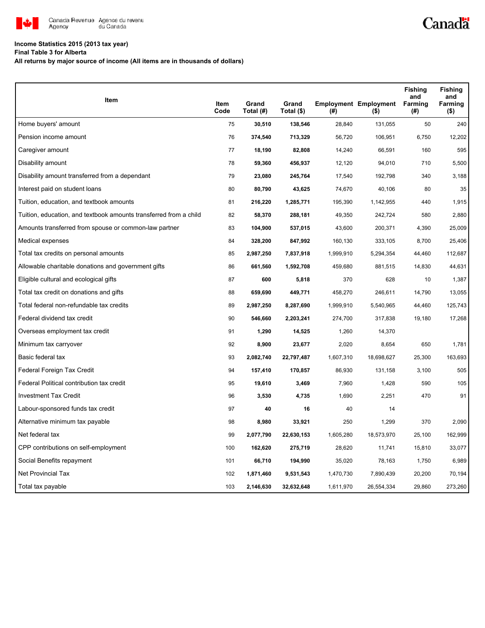

# **Income Statistics 2015 (2013 tax year)**

**Final Table 3 for Alberta**

**All returns by major source of income (All items are in thousands of dollars)**

| Item                                                              |              |                    |                     |           |                                         | <b>Fishing</b><br>and | <b>Fishing</b><br>and |
|-------------------------------------------------------------------|--------------|--------------------|---------------------|-----------|-----------------------------------------|-----------------------|-----------------------|
|                                                                   | Item<br>Code | Grand<br>Total (#) | Grand<br>Total (\$) | (#)       | <b>Employment Employment</b><br>$($ \$) | <b>Farming</b><br>(#) | Farming<br>$($ \$)    |
| Home buyers' amount                                               | 75           | 30,510             | 138,546             | 28,840    | 131,055                                 | 50                    | 240                   |
| Pension income amount                                             | 76           | 374,540            | 713,329             | 56,720    | 106,951                                 | 6,750                 | 12,202                |
| Caregiver amount                                                  | 77           | 18,190             | 82,808              | 14,240    | 66,591                                  | 160                   | 595                   |
| Disability amount                                                 | 78           | 59,360             | 456,937             | 12,120    | 94,010                                  | 710                   | 5,500                 |
| Disability amount transferred from a dependant                    | 79           | 23,080             | 245,764             | 17,540    | 192,798                                 | 340                   | 3,188                 |
| Interest paid on student loans                                    | 80           | 80,790             | 43,625              | 74,670    | 40,106                                  | 80                    | 35                    |
| Tuition, education, and textbook amounts                          | 81           | 216,220            | 1,285,771           | 195,390   | 1,142,955                               | 440                   | 1,915                 |
| Tuition, education, and textbook amounts transferred from a child | 82           | 58,370             | 288,181             | 49,350    | 242,724                                 | 580                   | 2,880                 |
| Amounts transferred from spouse or common-law partner             | 83           | 104,900            | 537,015             | 43,600    | 200,371                                 | 4,390                 | 25,009                |
| Medical expenses                                                  | 84           | 328,200            | 847,992             | 160,130   | 333,105                                 | 8,700                 | 25,406                |
| Total tax credits on personal amounts                             | 85           | 2,987,250          | 7,837,918           | 1,999,910 | 5,294,354                               | 44,460                | 112,687               |
| Allowable charitable donations and government gifts               | 86           | 661,560            | 1,592,708           | 459,680   | 881,515                                 | 14,830                | 44,631                |
| Eligible cultural and ecological gifts                            | 87           | 600                | 5,818               | 370       | 628                                     | 10                    | 1,387                 |
| Total tax credit on donations and gifts                           | 88           | 659,690            | 449,771             | 458,270   | 246,611                                 | 14,790                | 13,055                |
| Total federal non-refundable tax credits                          | 89           | 2,987,250          | 8,287,690           | 1,999,910 | 5,540,965                               | 44,460                | 125,743               |
| Federal dividend tax credit                                       | 90           | 546,660            | 2,203,241           | 274,700   | 317,838                                 | 19,180                | 17,268                |
| Overseas employment tax credit                                    | 91           | 1,290              | 14,525              | 1,260     | 14,370                                  |                       |                       |
| Minimum tax carryover                                             | 92           | 8,900              | 23,677              | 2,020     | 8,654                                   | 650                   | 1,781                 |
| Basic federal tax                                                 | 93           | 2,082,740          | 22,797,487          | 1,607,310 | 18,698,627                              | 25,300                | 163,693               |
| Federal Foreign Tax Credit                                        | 94           | 157,410            | 170,857             | 86,930    | 131,158                                 | 3,100                 | 505                   |
| Federal Political contribution tax credit                         | 95           | 19,610             | 3,469               | 7,960     | 1,428                                   | 590                   | 105                   |
| <b>Investment Tax Credit</b>                                      | 96           | 3,530              | 4,735               | 1,690     | 2,251                                   | 470                   | 91                    |
| Labour-sponsored funds tax credit                                 | 97           | 40                 | 16                  | 40        | 14                                      |                       |                       |
| Alternative minimum tax payable                                   | 98           | 8,980              | 33,921              | 250       | 1,299                                   | 370                   | 2,090                 |
| Net federal tax                                                   | 99           | 2,077,790          | 22,630,153          | 1,605,280 | 18,573,970                              | 25,100                | 162,999               |
| CPP contributions on self-employment                              | 100          | 162,620            | 275,719             | 28,620    | 11,741                                  | 15,810                | 33,077                |
| Social Benefits repayment                                         | 101          | 66,710             | 194,990             | 35,020    | 78,163                                  | 1,750                 | 6,989                 |
| <b>Net Provincial Tax</b>                                         | 102          | 1,871,460          | 9,531,543           | 1,470,730 | 7,890,439                               | 20,200                | 70,194                |
| Total tax payable                                                 | 103          | 2,146,630          | 32,632,648          | 1,611,970 | 26,554,334                              | 29,860                | 273,260               |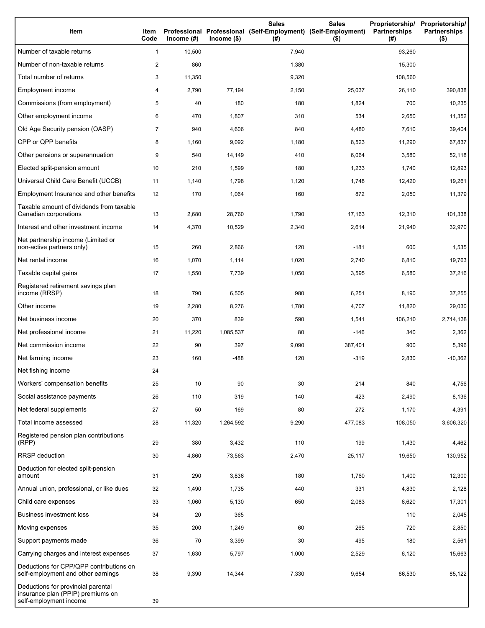| Item                                                                                              | Item<br>Code   | Income $(\#)$ | $Income$ (\$) | <b>Sales</b><br>Professional Professional (Self-Employment) (Self-Employment)<br>(# ) | <b>Sales</b><br>$($ \$) | Proprietorship/<br><b>Partnerships</b><br>(#) | Proprietorship/<br><b>Partnerships</b><br>$($ \$) |
|---------------------------------------------------------------------------------------------------|----------------|---------------|---------------|---------------------------------------------------------------------------------------|-------------------------|-----------------------------------------------|---------------------------------------------------|
| Number of taxable returns                                                                         | $\mathbf{1}$   | 10,500        |               | 7,940                                                                                 |                         | 93,260                                        |                                                   |
| Number of non-taxable returns                                                                     | $\overline{c}$ | 860           |               | 1,380                                                                                 |                         | 15,300                                        |                                                   |
| Total number of returns                                                                           | 3              | 11,350        |               | 9,320                                                                                 |                         | 108,560                                       |                                                   |
| Employment income                                                                                 | 4              | 2,790         | 77,194        | 2,150                                                                                 | 25,037                  | 26,110                                        | 390,838                                           |
| Commissions (from employment)                                                                     | 5              | 40            | 180           | 180                                                                                   | 1,824                   | 700                                           | 10,235                                            |
| Other employment income                                                                           | 6              | 470           | 1,807         | 310                                                                                   | 534                     | 2,650                                         | 11,352                                            |
| Old Age Security pension (OASP)                                                                   | $\overline{7}$ | 940           | 4,606         | 840                                                                                   | 4,480                   | 7,610                                         | 39,404                                            |
| CPP or QPP benefits                                                                               | 8              | 1,160         | 9,092         | 1,180                                                                                 | 8,523                   | 11,290                                        | 67,837                                            |
| Other pensions or superannuation                                                                  | 9              | 540           | 14,149        | 410                                                                                   | 6,064                   | 3,580                                         | 52,118                                            |
| Elected split-pension amount                                                                      | 10             | 210           | 1,599         | 180                                                                                   | 1,233                   | 1,740                                         | 12,893                                            |
| Universal Child Care Benefit (UCCB)                                                               | 11             | 1,140         | 1,798         | 1,120                                                                                 | 1,748                   | 12,420                                        | 19,261                                            |
| Employment Insurance and other benefits                                                           | 12             | 170           | 1,064         | 160                                                                                   | 872                     | 2,050                                         | 11,379                                            |
| Taxable amount of dividends from taxable<br>Canadian corporations                                 | 13             | 2,680         | 28,760        | 1,790                                                                                 | 17,163                  | 12,310                                        | 101,338                                           |
| Interest and other investment income                                                              | 14             | 4,370         | 10,529        | 2,340                                                                                 | 2,614                   | 21,940                                        | 32,970                                            |
| Net partnership income (Limited or<br>non-active partners only)                                   | 15             | 260           | 2,866         | 120                                                                                   | $-181$                  | 600                                           | 1,535                                             |
| Net rental income                                                                                 | 16             | 1,070         | 1,114         | 1,020                                                                                 | 2,740                   | 6,810                                         | 19,763                                            |
| Taxable capital gains                                                                             | 17             | 1,550         | 7,739         | 1,050                                                                                 | 3,595                   | 6,580                                         | 37,216                                            |
| Registered retirement savings plan<br>income (RRSP)                                               | 18             | 790           | 6,505         | 980                                                                                   | 6,251                   | 8,190                                         | 37,255                                            |
| Other income                                                                                      | 19             | 2,280         | 8,276         | 1,780                                                                                 | 4,707                   | 11,820                                        | 29,030                                            |
| Net business income                                                                               | 20             | 370           | 839           | 590                                                                                   | 1,541                   | 106,210                                       | 2,714,138                                         |
| Net professional income                                                                           | 21             | 11,220        | 1,085,537     | 80                                                                                    | $-146$                  | 340                                           | 2,362                                             |
| Net commission income                                                                             | 22             | 90            | 397           | 9,090                                                                                 | 387,401                 | 900                                           | 5,396                                             |
| Net farming income                                                                                | 23             | 160           | $-488$        | 120                                                                                   | $-319$                  | 2,830                                         | $-10,362$                                         |
| Net fishing income                                                                                | 24             |               |               |                                                                                       |                         |                                               |                                                   |
| Workers' compensation benefits                                                                    | 25             | 10            | 90            | 30                                                                                    | 214                     | 840                                           | 4,756                                             |
| Social assistance payments                                                                        | 26             | 110           | 319           | 140                                                                                   | 423                     | 2,490                                         | 8,136                                             |
| Net federal supplements                                                                           | 27             | 50            | 169           | 80                                                                                    | 272                     | 1,170                                         | 4,391                                             |
| Total income assessed                                                                             | 28             | 11,320        | 1,264,592     | 9,290                                                                                 | 477,083                 | 108,050                                       | 3,606,320                                         |
| Registered pension plan contributions<br>(RPP)                                                    | 29             | 380           | 3,432         | 110                                                                                   | 199                     | 1,430                                         | 4,462                                             |
| RRSP deduction                                                                                    | 30             | 4,860         | 73,563        | 2,470                                                                                 | 25,117                  | 19,650                                        | 130,952                                           |
| Deduction for elected split-pension<br>amount                                                     | 31             | 290           | 3,836         | 180                                                                                   | 1,760                   | 1,400                                         | 12,300                                            |
| Annual union, professional, or like dues                                                          | 32             | 1,490         | 1,735         | 440                                                                                   | 331                     | 4,830                                         | 2,128                                             |
| Child care expenses                                                                               | 33             | 1,060         | 5,130         | 650                                                                                   | 2,083                   | 6,620                                         | 17,301                                            |
| <b>Business investment loss</b>                                                                   | 34             | 20            | 365           |                                                                                       |                         | 110                                           | 2,045                                             |
| Moving expenses                                                                                   | 35             | 200           | 1,249         | 60                                                                                    | 265                     | 720                                           | 2,850                                             |
| Support payments made                                                                             | 36             | 70            | 3,399         | 30                                                                                    | 495                     | 180                                           | 2,561                                             |
| Carrying charges and interest expenses                                                            | 37             | 1,630         | 5,797         | 1,000                                                                                 | 2,529                   | 6,120                                         | 15,663                                            |
| Deductions for CPP/QPP contributions on<br>self-employment and other earnings                     | 38             | 9,390         | 14,344        | 7,330                                                                                 | 9,654                   | 86,530                                        | 85,122                                            |
| Deductions for provincial parental<br>insurance plan (PPIP) premiums on<br>self-employment income | 39             |               |               |                                                                                       |                         |                                               |                                                   |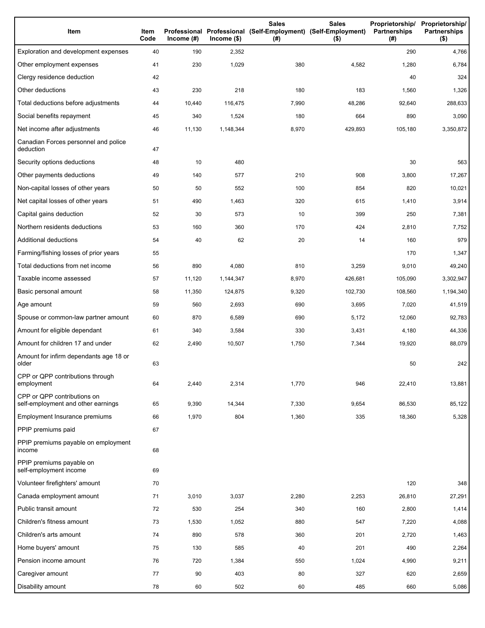| Item                                                              | Item<br>Code | Income $(H)$ | $lncome$ (\$) | <b>Sales</b><br>Professional Professional (Self-Employment) (Self-Employment)<br>(#) | <b>Sales</b><br>$($ \$) | Proprietorship/<br><b>Partnerships</b><br>(#) | Proprietorship/<br><b>Partnerships</b><br>$($ \$) |
|-------------------------------------------------------------------|--------------|--------------|---------------|--------------------------------------------------------------------------------------|-------------------------|-----------------------------------------------|---------------------------------------------------|
| Exploration and development expenses                              | 40           | 190          | 2,352         |                                                                                      |                         | 290                                           | 4,766                                             |
| Other employment expenses                                         | 41           | 230          | 1,029         | 380                                                                                  | 4,582                   | 1,280                                         | 6,784                                             |
| Clergy residence deduction                                        | 42           |              |               |                                                                                      |                         | 40                                            | 324                                               |
| Other deductions                                                  | 43           | 230          | 218           | 180                                                                                  | 183                     | 1,560                                         | 1,326                                             |
| Total deductions before adjustments                               | 44           | 10,440       | 116,475       | 7,990                                                                                | 48,286                  | 92,640                                        | 288,633                                           |
| Social benefits repayment                                         | 45           | 340          | 1,524         | 180                                                                                  | 664                     | 890                                           | 3,090                                             |
| Net income after adjustments                                      | 46           | 11.130       | 1,148,344     | 8,970                                                                                | 429,893                 | 105,180                                       | 3,350,872                                         |
| Canadian Forces personnel and police<br>deduction                 | 47           |              |               |                                                                                      |                         |                                               |                                                   |
| Security options deductions                                       | 48           | 10           | 480           |                                                                                      |                         | 30                                            | 563                                               |
| Other payments deductions                                         | 49           | 140          | 577           | 210                                                                                  | 908                     | 3,800                                         | 17,267                                            |
| Non-capital losses of other years                                 | 50           | 50           | 552           | 100                                                                                  | 854                     | 820                                           | 10,021                                            |
| Net capital losses of other years                                 | 51           | 490          | 1,463         | 320                                                                                  | 615                     | 1,410                                         | 3,914                                             |
| Capital gains deduction                                           | 52           | 30           | 573           | 10                                                                                   | 399                     | 250                                           | 7,381                                             |
| Northern residents deductions                                     | 53           | 160          | 360           | 170                                                                                  | 424                     | 2,810                                         | 7,752                                             |
| Additional deductions                                             | 54           | 40           | 62            | 20                                                                                   | 14                      | 160                                           | 979                                               |
| Farming/fishing losses of prior years                             | 55           |              |               |                                                                                      |                         | 170                                           | 1,347                                             |
| Total deductions from net income                                  | 56           | 890          | 4,080         | 810                                                                                  | 3,259                   | 9,010                                         | 49,240                                            |
| Taxable income assessed                                           | 57           | 11,120       | 1,144,347     | 8,970                                                                                | 426,681                 | 105,090                                       | 3,302,947                                         |
| Basic personal amount                                             | 58           | 11,350       | 124,875       | 9,320                                                                                | 102,730                 | 108,560                                       | 1,194,340                                         |
| Age amount                                                        | 59           | 560          | 2,693         | 690                                                                                  | 3,695                   | 7,020                                         | 41,519                                            |
| Spouse or common-law partner amount                               | 60           | 870          | 6,589         | 690                                                                                  | 5,172                   | 12,060                                        | 92,783                                            |
| Amount for eligible dependant                                     | 61           | 340          | 3,584         | 330                                                                                  | 3,431                   | 4,180                                         | 44,336                                            |
| Amount for children 17 and under                                  | 62           | 2,490        | 10,507        | 1,750                                                                                | 7,344                   | 19,920                                        | 88,079                                            |
| Amount for infirm dependants age 18 or<br>older                   | 63           |              |               |                                                                                      |                         | 50                                            | 242                                               |
| CPP or QPP contributions through<br>employment                    | 64           | 2,440        | 2,314         | 1,770                                                                                | 946                     | 22,410                                        | 13,881                                            |
| CPP or QPP contributions on<br>self-employment and other earnings | 65           | 9,390        | 14,344        | 7,330                                                                                | 9,654                   | 86,530                                        | 85,122                                            |
| Employment Insurance premiums                                     | 66           | 1,970        | 804           | 1,360                                                                                | 335                     | 18,360                                        | 5,328                                             |
| PPIP premiums paid                                                | 67           |              |               |                                                                                      |                         |                                               |                                                   |
| PPIP premiums payable on employment<br>income                     | 68           |              |               |                                                                                      |                         |                                               |                                                   |
| PPIP premiums payable on<br>self-employment income                | 69           |              |               |                                                                                      |                         |                                               |                                                   |
| Volunteer firefighters' amount                                    | 70           |              |               |                                                                                      |                         | 120                                           | 348                                               |
| Canada employment amount                                          | 71           | 3,010        | 3,037         | 2,280                                                                                | 2,253                   | 26,810                                        | 27,291                                            |
| Public transit amount                                             | 72           | 530          | 254           | 340                                                                                  | 160                     | 2,800                                         | 1,414                                             |
| Children's fitness amount                                         | 73           | 1,530        | 1,052         | 880                                                                                  | 547                     | 7,220                                         | 4,088                                             |
| Children's arts amount                                            | 74           | 890          | 578           | 360                                                                                  | 201                     | 2,720                                         | 1,463                                             |
| Home buyers' amount                                               | 75           | 130          | 585           | 40                                                                                   | 201                     | 490                                           | 2,264                                             |
| Pension income amount                                             | 76           | 720          | 1,384         | 550                                                                                  | 1,024                   | 4,990                                         | 9,211                                             |
| Caregiver amount                                                  | 77           | 90           | 403           | 80                                                                                   | 327                     | 620                                           | 2,659                                             |
| Disability amount                                                 | 78           | 60           | 502           | 60                                                                                   | 485                     | 660                                           | 5,086                                             |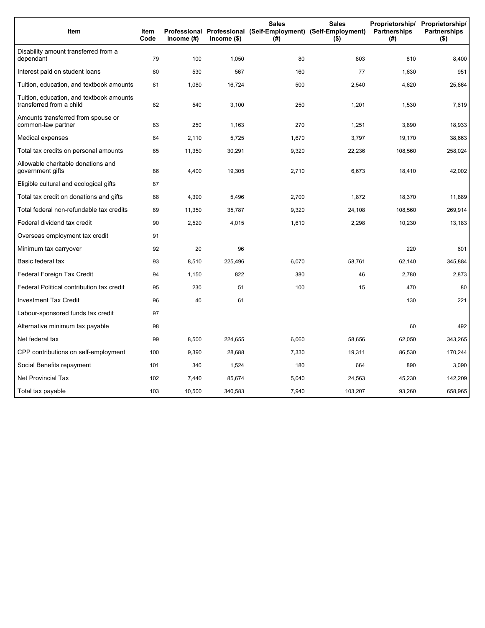| Item                                                                 | Item<br>Code | Income $(\#)$ | $Income$ (\$) | <b>Sales</b><br>Professional Professional (Self-Employment) (Self-Employment)<br>(#) | <b>Sales</b><br>$($ \$) | Proprietorship/<br>Partnerships<br>(#) | Proprietorship/<br><b>Partnerships</b><br>$($ \$) |
|----------------------------------------------------------------------|--------------|---------------|---------------|--------------------------------------------------------------------------------------|-------------------------|----------------------------------------|---------------------------------------------------|
| Disability amount transferred from a<br>dependant                    | 79           | 100           | 1,050         | 80                                                                                   | 803                     | 810                                    | 8,400                                             |
| Interest paid on student loans                                       | 80           | 530           | 567           | 160                                                                                  | 77                      | 1,630                                  | 951                                               |
| Tuition, education, and textbook amounts                             | 81           | 1,080         | 16,724        | 500                                                                                  | 2,540                   | 4,620                                  | 25,864                                            |
| Tuition, education, and textbook amounts<br>transferred from a child | 82           | 540           | 3,100         | 250                                                                                  | 1,201                   | 1,530                                  | 7,619                                             |
| Amounts transferred from spouse or<br>common-law partner             | 83           | 250           | 1,163         | 270                                                                                  | 1,251                   | 3,890                                  | 18,933                                            |
| Medical expenses                                                     | 84           | 2,110         | 5,725         | 1,670                                                                                | 3,797                   | 19,170                                 | 38,663                                            |
| Total tax credits on personal amounts                                | 85           | 11,350        | 30,291        | 9,320                                                                                | 22,236                  | 108,560                                | 258,024                                           |
| Allowable charitable donations and<br>government gifts               | 86           | 4,400         | 19,305        | 2,710                                                                                | 6,673                   | 18,410                                 | 42,002                                            |
| Eligible cultural and ecological gifts                               | 87           |               |               |                                                                                      |                         |                                        |                                                   |
| Total tax credit on donations and gifts                              | 88           | 4,390         | 5,496         | 2,700                                                                                | 1,872                   | 18.370                                 | 11,889                                            |
| Total federal non-refundable tax credits                             | 89           | 11,350        | 35,787        | 9,320                                                                                | 24,108                  | 108,560                                | 269,914                                           |
| Federal dividend tax credit                                          | 90           | 2,520         | 4,015         | 1,610                                                                                | 2,298                   | 10,230                                 | 13,183                                            |
| Overseas employment tax credit                                       | 91           |               |               |                                                                                      |                         |                                        |                                                   |
| Minimum tax carryover                                                | 92           | 20            | 96            |                                                                                      |                         | 220                                    | 601                                               |
| Basic federal tax                                                    | 93           | 8,510         | 225,496       | 6,070                                                                                | 58,761                  | 62,140                                 | 345,884                                           |
| Federal Foreign Tax Credit                                           | 94           | 1,150         | 822           | 380                                                                                  | 46                      | 2,780                                  | 2,873                                             |
| Federal Political contribution tax credit                            | 95           | 230           | 51            | 100                                                                                  | 15                      | 470                                    | 80                                                |
| <b>Investment Tax Credit</b>                                         | 96           | 40            | 61            |                                                                                      |                         | 130                                    | 221                                               |
| Labour-sponsored funds tax credit                                    | 97           |               |               |                                                                                      |                         |                                        |                                                   |
| Alternative minimum tax payable                                      | 98           |               |               |                                                                                      |                         | 60                                     | 492                                               |
| Net federal tax                                                      | 99           | 8,500         | 224,655       | 6,060                                                                                | 58,656                  | 62,050                                 | 343,265                                           |
| CPP contributions on self-employment                                 | 100          | 9,390         | 28,688        | 7,330                                                                                | 19,311                  | 86,530                                 | 170,244                                           |
| Social Benefits repayment                                            | 101          | 340           | 1,524         | 180                                                                                  | 664                     | 890                                    | 3,090                                             |
| <b>Net Provincial Tax</b>                                            | 102          | 7,440         | 85,674        | 5,040                                                                                | 24,563                  | 45,230                                 | 142,209                                           |
| Total tax payable                                                    | 103          | 10,500        | 340,583       | 7,940                                                                                | 103,207                 | 93,260                                 | 658,965                                           |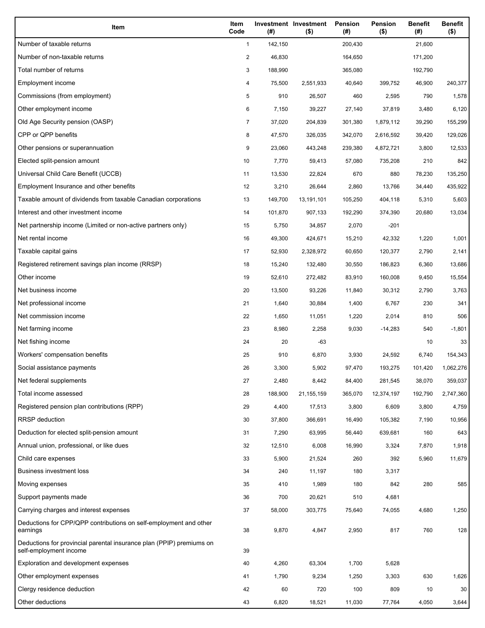| Item                                                                                           | Item<br>Code   | (#)     | Investment Investment<br>$($ \$) | <b>Pension</b><br>(#) | Pension<br>$($ \$) | <b>Benefit</b><br>(#) | <b>Benefit</b><br>$($ \$) |
|------------------------------------------------------------------------------------------------|----------------|---------|----------------------------------|-----------------------|--------------------|-----------------------|---------------------------|
| Number of taxable returns                                                                      | $\mathbf{1}$   | 142,150 |                                  | 200,430               |                    | 21,600                |                           |
| Number of non-taxable returns                                                                  | 2              | 46,830  |                                  | 164,650               |                    | 171,200               |                           |
| Total number of returns                                                                        | 3              | 188,990 |                                  | 365,080               |                    | 192,790               |                           |
| Employment income                                                                              | 4              | 75,500  | 2,551,933                        | 40,640                | 399,752            | 46,900                | 240,377                   |
| Commissions (from employment)                                                                  | 5              | 910     | 26,507                           | 460                   | 2,595              | 790                   | 1,578                     |
| Other employment income                                                                        | 6              | 7,150   | 39,227                           | 27,140                | 37,819             | 3,480                 | 6,120                     |
| Old Age Security pension (OASP)                                                                | $\overline{7}$ | 37,020  | 204,839                          | 301,380               | 1,879,112          | 39,290                | 155,299                   |
| CPP or QPP benefits                                                                            | 8              | 47,570  | 326,035                          | 342,070               | 2,616,592          | 39,420                | 129,026                   |
| Other pensions or superannuation                                                               | 9              | 23,060  | 443,248                          | 239,380               | 4,872,721          | 3,800                 | 12,533                    |
| Elected split-pension amount                                                                   | 10             | 7,770   | 59,413                           | 57,080                | 735,208            | 210                   | 842                       |
| Universal Child Care Benefit (UCCB)                                                            | 11             | 13,530  | 22,824                           | 670                   | 880                | 78,230                | 135,250                   |
| Employment Insurance and other benefits                                                        | 12             | 3,210   | 26,644                           | 2,860                 | 13,766             | 34,440                | 435,922                   |
| Taxable amount of dividends from taxable Canadian corporations                                 | 13             | 149,700 | 13,191,101                       | 105,250               | 404,118            | 5,310                 | 5,603                     |
| Interest and other investment income                                                           | 14             | 101,870 | 907,133                          | 192,290               | 374,390            | 20,680                | 13,034                    |
| Net partnership income (Limited or non-active partners only)                                   | 15             | 5,750   | 34,857                           | 2,070                 | $-201$             |                       |                           |
| Net rental income                                                                              | 16             | 49,300  | 424,671                          | 15,210                | 42,332             | 1,220                 | 1,001                     |
| Taxable capital gains                                                                          | 17             | 52,930  | 2,328,972                        | 60,650                | 120,377            | 2,790                 | 2,141                     |
| Registered retirement savings plan income (RRSP)                                               | 18             | 15,240  | 132,480                          | 30,550                | 186,823            | 6,360                 | 13,686                    |
| Other income                                                                                   | 19             | 52,610  | 272,482                          | 83,910                | 160,008            | 9,450                 | 15,554                    |
| Net business income                                                                            | 20             | 13,500  | 93,226                           | 11,840                | 30,312             | 2,790                 | 3,763                     |
| Net professional income                                                                        | 21             | 1,640   | 30,884                           | 1,400                 | 6,767              | 230                   | 341                       |
| Net commission income                                                                          | 22             | 1,650   | 11,051                           | 1,220                 | 2,014              | 810                   | 506                       |
| Net farming income                                                                             | 23             | 8,980   | 2,258                            | 9,030                 | -14,283            | 540                   | $-1,801$                  |
| Net fishing income                                                                             | 24             | 20      | $-63$                            |                       |                    | 10                    | 33                        |
| Workers' compensation benefits                                                                 | 25             | 910     | 6,870                            | 3,930                 | 24,592             | 6,740                 | 154,343                   |
| Social assistance payments                                                                     | 26             | 3,300   | 5,902                            | 97,470                | 193,275            | 101,420               | 1,062,276                 |
| Net federal supplements                                                                        | 27             | 2,480   | 8,442                            | 84,400                | 281,545            | 38,070                | 359,037                   |
| Total income assessed                                                                          | 28             | 188,900 | 21, 155, 159                     | 365,070               | 12,374,197         | 192,790               | 2,747,360                 |
| Registered pension plan contributions (RPP)                                                    | 29             | 4,400   | 17,513                           | 3,800                 | 6,609              | 3,800                 | 4,759                     |
| RRSP deduction                                                                                 | 30             | 37,800  | 366,691                          | 16,490                | 105,382            | 7,190                 | 10,956                    |
| Deduction for elected split-pension amount                                                     | 31             | 7,290   | 63,995                           | 56,440                | 639,681            | 160                   | 643                       |
| Annual union, professional, or like dues                                                       | 32             | 12,510  | 6,008                            | 16,990                | 3,324              | 7,870                 | 1,918                     |
| Child care expenses                                                                            | 33             | 5,900   | 21,524                           | 260                   | 392                | 5,960                 | 11,679                    |
| <b>Business investment loss</b>                                                                | 34             | 240     | 11,197                           | 180                   | 3,317              |                       |                           |
| Moving expenses                                                                                | 35             | 410     | 1,989                            | 180                   | 842                | 280                   | 585                       |
| Support payments made                                                                          | 36             | 700     | 20,621                           | 510                   | 4,681              |                       |                           |
| Carrying charges and interest expenses                                                         | 37             | 58,000  | 303,775                          | 75,640                | 74,055             | 4,680                 | 1,250                     |
| Deductions for CPP/QPP contributions on self-employment and other<br>earnings                  | 38             | 9,870   | 4,847                            | 2,950                 | 817                | 760                   | 128                       |
| Deductions for provincial parental insurance plan (PPIP) premiums on<br>self-employment income | 39             |         |                                  |                       |                    |                       |                           |
| Exploration and development expenses                                                           | 40             | 4,260   | 63,304                           | 1,700                 | 5,628              |                       |                           |
| Other employment expenses                                                                      | 41             | 1,790   | 9,234                            | 1,250                 | 3,303              | 630                   | 1,626                     |
| Clergy residence deduction                                                                     | 42             | 60      | 720                              | 100                   | 809                | 10                    | 30                        |
| Other deductions                                                                               | 43             | 6,820   | 18,521                           | 11,030                | 77,764             | 4,050                 | 3,644                     |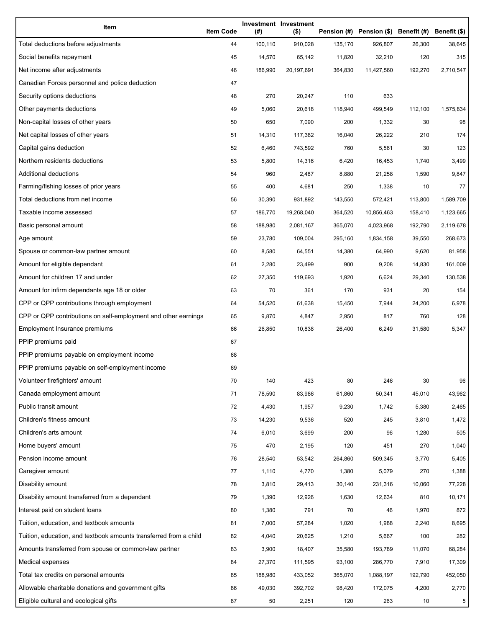| Item                                                              | <b>Item Code</b> | (#)     | Investment Investment<br>$($ \$) |         | Pension (#) Pension (\$) Benefit (#) Benefit (\$) |         |           |
|-------------------------------------------------------------------|------------------|---------|----------------------------------|---------|---------------------------------------------------|---------|-----------|
| Total deductions before adjustments                               | 44               | 100,110 | 910,028                          | 135,170 | 926,807                                           | 26,300  | 38,645    |
| Social benefits repayment                                         | 45               | 14,570  | 65,142                           | 11,820  | 32,210                                            | 120     | 315       |
| Net income after adjustments                                      | 46               | 186,990 | 20,197,691                       | 364,830 | 11,427,560                                        | 192,270 | 2,710,547 |
| Canadian Forces personnel and police deduction                    | 47               |         |                                  |         |                                                   |         |           |
| Security options deductions                                       | 48               | 270     | 20,247                           | 110     | 633                                               |         |           |
| Other payments deductions                                         | 49               | 5,060   | 20,618                           | 118,940 | 499,549                                           | 112,100 | 1,575,834 |
| Non-capital losses of other years                                 | 50               | 650     | 7,090                            | 200     | 1,332                                             | 30      | 98        |
| Net capital losses of other years                                 | 51               | 14,310  | 117,382                          | 16,040  | 26,222                                            | 210     | 174       |
| Capital gains deduction                                           | 52               | 6,460   | 743,592                          | 760     | 5,561                                             | 30      | 123       |
| Northern residents deductions                                     | 53               | 5,800   | 14,316                           | 6,420   | 16,453                                            | 1,740   | 3,499     |
| Additional deductions                                             | 54               | 960     | 2,487                            | 8,880   | 21,258                                            | 1,590   | 9,847     |
| Farming/fishing losses of prior years                             | 55               | 400     | 4,681                            | 250     | 1,338                                             | 10      | 77        |
| Total deductions from net income                                  | 56               | 30,390  | 931,892                          | 143,550 | 572,421                                           | 113,800 | 1,589,709 |
| Taxable income assessed                                           | 57               | 186,770 | 19,268,040                       | 364,520 | 10,856,463                                        | 158,410 | 1,123,665 |
| Basic personal amount                                             | 58               | 188,980 | 2,081,167                        | 365,070 | 4,023,968                                         | 192,790 | 2,119,678 |
| Age amount                                                        | 59               | 23,780  | 109,004                          | 295,160 | 1,834,158                                         | 39,550  | 268,673   |
| Spouse or common-law partner amount                               | 60               | 8,580   | 64,551                           | 14,380  | 64,990                                            | 9,620   | 81,958    |
| Amount for eligible dependant                                     | 61               | 2,280   | 23,499                           | 900     | 9,208                                             | 14,830  | 161,009   |
| Amount for children 17 and under                                  | 62               | 27,350  | 119,693                          | 1,920   | 6,624                                             | 29,340  | 130,538   |
| Amount for infirm dependants age 18 or older                      | 63               | 70      | 361                              | 170     | 931                                               | 20      | 154       |
| CPP or QPP contributions through employment                       | 64               | 54,520  | 61,638                           | 15,450  | 7,944                                             | 24,200  | 6,978     |
| CPP or QPP contributions on self-employment and other earnings    | 65               | 9,870   | 4,847                            | 2,950   | 817                                               | 760     | 128       |
| Employment Insurance premiums                                     | 66               | 26,850  | 10,838                           | 26,400  | 6,249                                             | 31,580  | 5,347     |
| PPIP premiums paid                                                | 67               |         |                                  |         |                                                   |         |           |
| PPIP premiums payable on employment income                        | 68               |         |                                  |         |                                                   |         |           |
| PPIP premiums payable on self-employment income                   | 69               |         |                                  |         |                                                   |         |           |
| Volunteer firefighters' amount                                    | 70               | 140     | 423                              | 80      | 246                                               | 30      | 96        |
| Canada employment amount                                          | 71               | 78,590  | 83,986                           | 61,860  | 50,341                                            | 45,010  | 43,962    |
| Public transit amount                                             | 72               | 4,430   | 1,957                            | 9,230   | 1,742                                             | 5,380   | 2,465     |
| Children's fitness amount                                         | 73               | 14,230  | 9,536                            | 520     | 245                                               | 3,810   | 1,472     |
| Children's arts amount                                            | 74               | 6,010   | 3,699                            | 200     | 96                                                | 1,280   | 505       |
| Home buyers' amount                                               | 75               | 470     | 2,195                            | 120     | 451                                               | 270     | 1,040     |
| Pension income amount                                             | 76               | 28,540  | 53,542                           | 264,860 | 509,345                                           | 3,770   | 5,405     |
| Caregiver amount                                                  | 77               | 1,110   | 4,770                            | 1,380   | 5,079                                             | 270     | 1,388     |
| Disability amount                                                 | 78               | 3,810   | 29,413                           | 30,140  | 231,316                                           | 10,060  | 77,228    |
| Disability amount transferred from a dependant                    | 79               | 1,390   | 12,926                           | 1,630   | 12,634                                            | 810     | 10,171    |
| Interest paid on student loans                                    | 80               | 1,380   | 791                              | 70      | 46                                                | 1,970   | 872       |
| Tuition, education, and textbook amounts                          | 81               | 7,000   | 57,284                           | 1,020   | 1,988                                             | 2,240   | 8,695     |
| Tuition, education, and textbook amounts transferred from a child | 82               | 4,040   | 20,625                           | 1,210   | 5,667                                             | 100     | 282       |
| Amounts transferred from spouse or common-law partner             | 83               | 3,900   | 18,407                           | 35,580  | 193,789                                           | 11,070  | 68,284    |
| Medical expenses                                                  | 84               | 27,370  | 111,595                          | 93,100  | 286,770                                           | 7,910   | 17,309    |
| Total tax credits on personal amounts                             | 85               | 188,980 | 433,052                          | 365,070 | 1,088,197                                         | 192,790 | 452,050   |
| Allowable charitable donations and government gifts               | 86               | 49,030  | 392,702                          | 98,420  | 172,075                                           | 4,200   | 2,770     |
| Eligible cultural and ecological gifts                            | 87               | 50      | 2,251                            | 120     | 263                                               | 10      | 5         |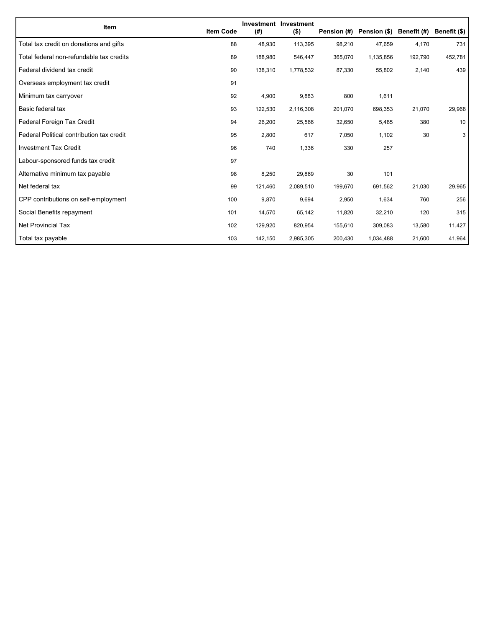| Item                                      | <b>Item Code</b> | (#)     | Investment Investment<br>$($ \$) | Pension (#) | Pension (\$) | Benefit (#) | Benefit (\$) |
|-------------------------------------------|------------------|---------|----------------------------------|-------------|--------------|-------------|--------------|
| Total tax credit on donations and gifts   | 88               | 48,930  | 113,395                          | 98,210      | 47,659       | 4,170       | 731          |
| Total federal non-refundable tax credits  | 89               | 188,980 | 546,447                          | 365,070     | 1,135,856    | 192,790     | 452,781      |
| Federal dividend tax credit               | 90               | 138,310 | 1,778,532                        | 87,330      | 55,802       | 2,140       | 439          |
| Overseas employment tax credit            | 91               |         |                                  |             |              |             |              |
| Minimum tax carryover                     | 92               | 4,900   | 9,883                            | 800         | 1,611        |             |              |
| Basic federal tax                         | 93               | 122,530 | 2,116,308                        | 201,070     | 698,353      | 21,070      | 29,968       |
| Federal Foreign Tax Credit                | 94               | 26,200  | 25,566                           | 32,650      | 5,485        | 380         | 10           |
| Federal Political contribution tax credit | 95               | 2,800   | 617                              | 7,050       | 1,102        | 30          | 3            |
| <b>Investment Tax Credit</b>              | 96               | 740     | 1,336                            | 330         | 257          |             |              |
| Labour-sponsored funds tax credit         | 97               |         |                                  |             |              |             |              |
| Alternative minimum tax payable           | 98               | 8,250   | 29,869                           | 30          | 101          |             |              |
| Net federal tax                           | 99               | 121,460 | 2,089,510                        | 199,670     | 691,562      | 21,030      | 29,965       |
| CPP contributions on self-employment      | 100              | 9,870   | 9,694                            | 2,950       | 1,634        | 760         | 256          |
| Social Benefits repayment                 | 101              | 14,570  | 65,142                           | 11,820      | 32,210       | 120         | 315          |
| Net Provincial Tax                        | 102              | 129,920 | 820,954                          | 155,610     | 309,083      | 13,580      | 11,427       |
| Total tax payable                         | 103              | 142,150 | 2,985,305                        | 200,430     | 1,034,488    | 21,600      | 41,964       |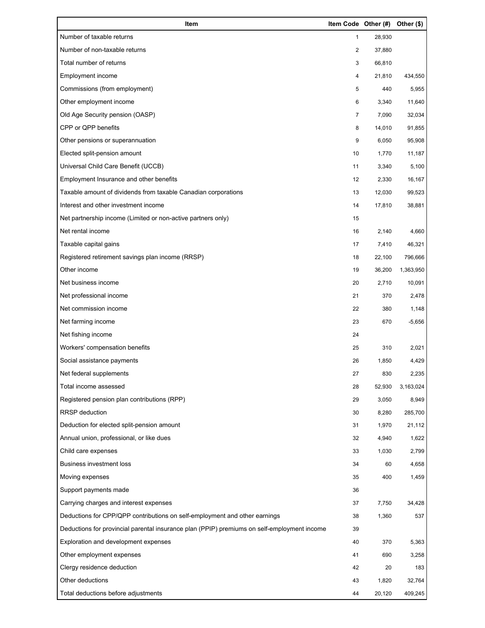| Item                                                                                        | Item Code Other (#) |        | Other (\$) |
|---------------------------------------------------------------------------------------------|---------------------|--------|------------|
| Number of taxable returns                                                                   | 1                   | 28,930 |            |
| Number of non-taxable returns                                                               | $\overline{2}$      | 37,880 |            |
| Total number of returns                                                                     | 3                   | 66,810 |            |
| Employment income                                                                           | 4                   | 21,810 | 434,550    |
| Commissions (from employment)                                                               | 5                   | 440    | 5,955      |
| Other employment income                                                                     | 6                   | 3,340  | 11,640     |
| Old Age Security pension (OASP)                                                             | 7                   | 7,090  | 32,034     |
| CPP or QPP benefits                                                                         | 8                   | 14,010 | 91,855     |
| Other pensions or superannuation                                                            | 9                   | 6,050  | 95,908     |
| Elected split-pension amount                                                                | 10                  | 1,770  | 11,187     |
| Universal Child Care Benefit (UCCB)                                                         | 11                  | 3,340  | 5,100      |
| Employment Insurance and other benefits                                                     | 12                  | 2,330  | 16,167     |
| Taxable amount of dividends from taxable Canadian corporations                              | 13                  | 12,030 | 99,523     |
| Interest and other investment income                                                        | 14                  | 17,810 | 38,881     |
| Net partnership income (Limited or non-active partners only)                                | 15                  |        |            |
| Net rental income                                                                           | 16                  | 2,140  | 4,660      |
| Taxable capital gains                                                                       | 17                  | 7,410  | 46,321     |
| Registered retirement savings plan income (RRSP)                                            | 18                  | 22,100 | 796,666    |
| Other income                                                                                | 19                  | 36,200 | 1,363,950  |
| Net business income                                                                         | 20                  | 2,710  | 10,091     |
| Net professional income                                                                     | 21                  | 370    | 2,478      |
| Net commission income                                                                       | 22                  | 380    | 1,148      |
| Net farming income                                                                          | 23                  | 670    | $-5,656$   |
| Net fishing income                                                                          | 24                  |        |            |
| Workers' compensation benefits                                                              | 25                  | 310    | 2,021      |
| Social assistance payments                                                                  | 26                  | 1,850  | 4,429      |
| Net federal supplements                                                                     | 27                  | 830    | 2,235      |
| Total income assessed                                                                       | 28                  | 52,930 | 3,163,024  |
| Registered pension plan contributions (RPP)                                                 | 29                  | 3,050  | 8,949      |
| <b>RRSP</b> deduction                                                                       | 30                  | 8,280  | 285,700    |
| Deduction for elected split-pension amount                                                  | 31                  | 1,970  | 21,112     |
| Annual union, professional, or like dues                                                    | 32                  | 4,940  | 1,622      |
| Child care expenses                                                                         | 33                  | 1,030  | 2,799      |
| <b>Business investment loss</b>                                                             | 34                  | 60     | 4,658      |
| Moving expenses                                                                             | 35                  | 400    | 1,459      |
| Support payments made                                                                       | 36                  |        |            |
| Carrying charges and interest expenses                                                      | 37                  | 7,750  | 34,428     |
| Deductions for CPP/QPP contributions on self-employment and other earnings                  | 38                  | 1,360  | 537        |
| Deductions for provincial parental insurance plan (PPIP) premiums on self-employment income | 39                  |        |            |
| Exploration and development expenses                                                        | 40                  | 370    | 5,363      |
| Other employment expenses                                                                   | 41                  | 690    | 3,258      |
| Clergy residence deduction                                                                  | 42                  | 20     | 183        |
| Other deductions                                                                            | 43                  | 1,820  | 32,764     |
| Total deductions before adjustments                                                         | 44                  | 20,120 | 409,245    |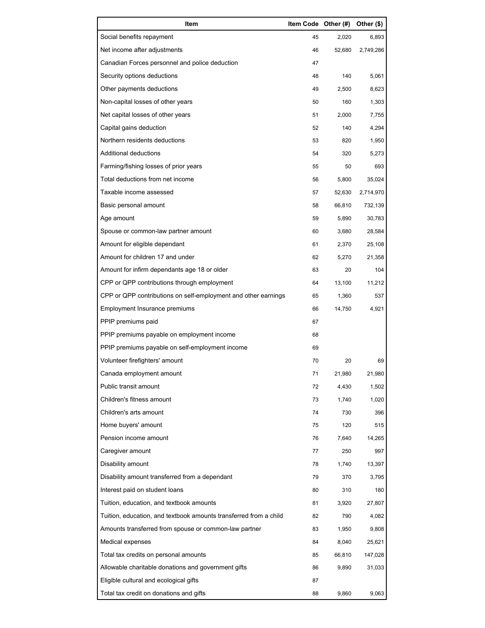| Item                                                              | Item Code Other (#) |        | Other (\$) |
|-------------------------------------------------------------------|---------------------|--------|------------|
| Social benefits repayment                                         | 45                  | 2,020  | 6,893      |
| Net income after adjustments                                      | 46                  | 52,680 | 2,749,286  |
| Canadian Forces personnel and police deduction                    | 47                  |        |            |
| Security options deductions                                       | 48                  | 140    | 5,061      |
| Other payments deductions                                         | 49                  | 2,500  | 8,623      |
| Non-capital losses of other years                                 | 50                  | 160    | 1,303      |
| Net capital losses of other years                                 | 51                  | 2,000  | 7,755      |
| Capital gains deduction                                           | 52                  | 140    | 4,294      |
| Northern residents deductions                                     | 53                  | 820    | 1,950      |
| Additional deductions                                             | 54                  | 320    | 5,273      |
| Farming/fishing losses of prior years                             | 55                  | 50     | 693        |
| Total deductions from net income                                  | 56                  | 5,800  | 35,024     |
| Taxable income assessed                                           | 57                  | 52,630 | 2,714,970  |
| Basic personal amount                                             | 58                  | 66,810 | 732,139    |
| Age amount                                                        | 59                  | 5,890  | 30,783     |
| Spouse or common-law partner amount                               | 60                  | 3,680  | 28,584     |
| Amount for eligible dependant                                     | 61                  | 2,370  | 25,108     |
| Amount for children 17 and under                                  | 62                  | 5,270  | 21,358     |
| Amount for infirm dependants age 18 or older                      | 63                  | 20     | 104        |
| CPP or QPP contributions through employment                       | 64                  | 13,100 | 11,212     |
| CPP or QPP contributions on self-employment and other earnings    | 65                  | 1,360  | 537        |
| Employment Insurance premiums                                     | 66                  | 14,750 | 4,921      |
| PPIP premiums paid                                                | 67                  |        |            |
| PPIP premiums payable on employment income                        | 68                  |        |            |
| PPIP premiums payable on self-employment income                   | 69                  |        |            |
| Volunteer firefighters' amount                                    | 70                  | 20     | 69         |
| Canada employment amount                                          | 71                  | 21,980 | 21,980     |
| Public transit amount                                             | 72                  | 4.430  | 1,502      |
| Children's fitness amount                                         | 73                  | 1,740  | 1,020      |
| Children's arts amount                                            | 74                  | 730    | 396        |
| Home buyers' amount                                               | 75                  | 120    | 515        |
| Pension income amount                                             | 76                  | 7,640  | 14,265     |
| Caregiver amount                                                  | 77                  | 250    | 997        |
| Disability amount                                                 | 78                  | 1,740  | 13,397     |
| Disability amount transferred from a dependant                    | 79                  | 370    | 3,795      |
| Interest paid on student loans                                    | 80                  | 310    | 180        |
| Tuition, education, and textbook amounts                          | 81                  | 3,920  | 27,807     |
| Tuition, education, and textbook amounts transferred from a child | 82                  | 790    | 4,082      |
| Amounts transferred from spouse or common-law partner             | 83                  | 1,950  | 9,808      |
| Medical expenses                                                  | 84                  | 8,040  | 25,621     |
| Total tax credits on personal amounts                             | 85                  | 66,810 | 147,028    |
| Allowable charitable donations and government gifts               | 86                  | 9,890  | 31,033     |
| Eligible cultural and ecological gifts                            | 87                  |        |            |
| Total tax credit on donations and gifts                           | 88                  | 9,860  | 9,063      |